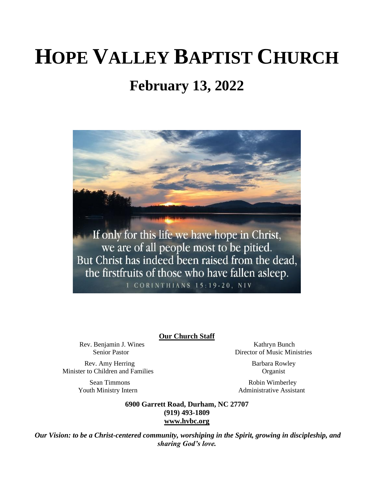# **HOPE VALLEY BAPTIST CHURCH**

# **February 13, 2022**



**Our Church Staff**

Rev. Benjamin J. Wines Kathryn Bunch

Senior Pastor Director of Music Ministries

Rev. Amy Herring Barbara Rowley Minister to Children and Families Organist

Sean Timmons Robin Wimberley Youth Ministry Intern Administrative Assistant

> **6900 Garrett Road, Durham, NC 27707 (919) 493-1809 [www.hvbc.org](https://nam02.safelinks.protection.outlook.com/?url=http%3A%2F%2Fwww.hvbc.org%2F&data=04%7C01%7Crobin%40hvbc.org%7Ca1947220efe048d45f2008d90f3f5013%7C19334143b857471a909f515a9e93cce3%7C0%7C0%7C637557586922368739%7CUnknown%7CTWFpbGZsb3d8eyJWIjoiMC4wLjAwMDAiLCJQIjoiV2luMzIiLCJBTiI6Ik1haWwiLCJXVCI6Mn0%3D%7C1000&sdata=vD8UY%2Ft%2Bw4fHfO%2FGyoDO3ShGm4jsX4L5zIVu36neNyk%3D&reserved=0)**

*Our Vision: to be a Christ-centered community, worshiping in the Spirit, growing in discipleship, and sharing God's love.*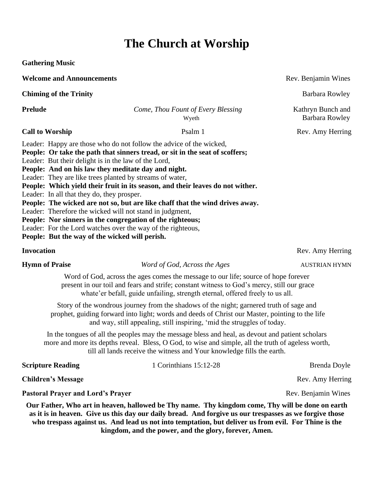# **The Church at Worship**

**Gathering Music**

**Welcome and Announcements Rev. Benjamin Wines Rev. Benjamin Wines** 

**Chiming of the Trinity** Barbara Rowley

**Prelude** *Come, Thou Fount of Every Blessing* **Kathryn Bunch and** Wyeth **Barbara Rowley** 

Leader: Happy are those who do not follow the advice of the wicked, **People: Or take the path that sinners tread, or sit in the seat of scoffers;**

Leader: But their delight is in the law of the Lord,

**People: And on his law they meditate day and night.**

Leader: They are like trees planted by streams of water,

**People: Which yield their fruit in its season, and their leaves do not wither.**

Leader: In all that they do, they prosper.

**People: The wicked are not so, but are like chaff that the wind drives away.**

Leader: Therefore the wicked will not stand in judgment,

**People: Nor sinners in the congregation of the righteous;**

Leader: For the Lord watches over the way of the righteous,

**People: But the way of the wicked will perish.**

**Hymn of Praise** *Word of God, Across the Ages AUSTRIAN HYMN* 

Word of God, across the ages comes the message to our life; source of hope forever present in our toil and fears and strife; constant witness to God's mercy, still our grace whate'er befall, guide unfailing, strength eternal, offered freely to us all.

Story of the wondrous journey from the shadows of the night; garnered truth of sage and prophet, guiding forward into light; words and deeds of Christ our Master, pointing to the life and way, still appealing, still inspiring, 'mid the struggles of today.

In the tongues of all the peoples may the message bless and heal, as devout and patient scholars more and more its depths reveal. Bless, O God, to wise and simple, all the truth of ageless worth, till all lands receive the witness and Your knowledge fills the earth.

**Scripture Reading 1 Corinthians 15:12-28 Brenda Doyle** 

**Children's Message** Rev. Amy Herring

**Pastoral Prayer and Lord's Prayer Rev. Benjamin Wines Rev. Benjamin Wines** 

**Our Father, Who art in heaven, hallowed be Thy name. Thy kingdom come, Thy will be done on earth as it is in heaven. Give us this day our daily bread. And forgive us our trespasses as we forgive those who trespass against us. And lead us not into temptation, but deliver us from evil. For Thine is the kingdom, and the power, and the glory, forever, Amen.**

**Invocation** Rev. Amy Herring

**Call to Worship**  Psalm 1 Rev. Amy Herring